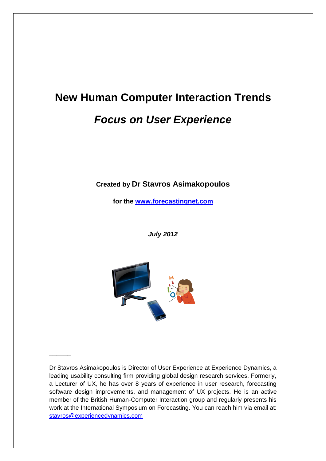# **New Human Computer Interaction Trends** *Focus on User Experience*

#### **Created by Dr Stavros Asimakopoulos**

**for the [www.forecastingnet.com](http://www.forecastingnet.com/)**

*July 2012*



 $\overline{\phantom{a}}$ 

Dr Stavros Asimakopoulos is Director of User Experience at Experience Dynamics, a leading usability consulting firm providing global design research services. Formerly, a Lecturer of UX, he has over 8 years of experience in user research, forecasting software design improvements, and management of UX projects. He is an active member of the British Human-Computer Interaction group and regularly presents his work at the International Symposium on Forecasting. You can reach him via email at: [stavros@experiencedynamics.com](mailto:stavros@experiencedynamics.com)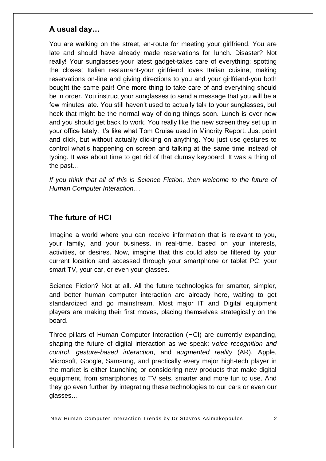### **A usual day…**

You are walking on the street, en-route for meeting your girlfriend. You are late and should have already made reservations for lunch. Disaster? Not really! Your sunglasses-your latest gadget-takes care of everything: spotting the closest Italian restaurant-your girlfriend loves Italian cuisine, making reservations on-line and giving directions to you and your girlfriend-you both bought the same pair! One more thing to take care of and everything should be in order. You instruct your sunglasses to send a message that you will be a few minutes late. You still haven't used to actually talk to your sunglasses, but heck that might be the normal way of doing things soon. Lunch is over now and you should get back to work. You really like the new screen they set up in your office lately. It's like what Tom Cruise used in Minority Report. Just point and click, but without actually clicking on anything. You just use gestures to control what's happening on screen and talking at the same time instead of typing. It was about time to get rid of that clumsy keyboard. It was a thing of the past…

*If you think that all of this is Science Fiction, then welcome to the future of Human Computer Interaction…*

### **The future of HCI**

Imagine a world where you can receive information that is relevant to you, your family, and your business, in real-time, based on your interests, activities, or desires. Now, imagine that this could also be filtered by your current location and accessed through your smartphone or tablet PC, your smart TV, your car, or even your glasses.

Science Fiction? Not at all. All the future technologies for smarter, simpler, and better human computer interaction are already here, waiting to get standardized and go mainstream. Most major IT and Digital equipment players are making their first moves, placing themselves strategically on the board.

Three pillars of Human Computer Interaction (HCI) are currently expanding, shaping the future of digital interaction as we speak: v*oice recognition and control*, *gesture-based interaction*, and *augmented reality* (AR). Apple, Microsoft, Google, Samsung, and practically every major high-tech player in the market is either launching or considering new products that make digital equipment, from smartphones to TV sets, smarter and more fun to use. And they go even further by integrating these technologies to our cars or even our glasses…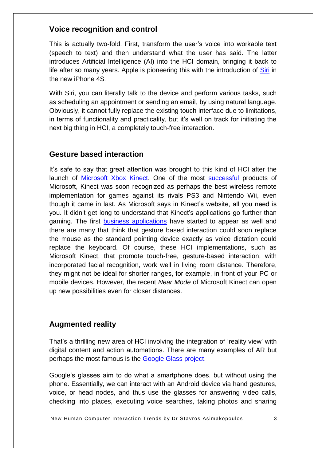#### **Voice recognition and control**

This is actually two-fold. First, transform the user's voice into workable text (speech to text) and then understand what the user has said. The latter introduces Artificial Intelligence (AI) into the HCI domain, bringing it back to life after so many vears. Apple is pioneering this with the introduction of [Siri](http://www.apple.com/iphone/features/siri.html) in the new iPhone 4S.

With Siri, you can literally talk to the device and perform various tasks, such as scheduling an appointment or sending an email, by using natural language. Obviously, it cannot fully replace the existing touch interface due to limitations, in terms of functionality and practicality, but it's well on track for initiating the next big thing in HCI, a completely touch-free interaction.

#### **Gesture based interaction**

It's safe to say that great attention was brought to this kind of HCI after the launch of [Microsoft Xbox Kinect.](http://www.xbox.com/en-US/KINECT) One of the most [successful](http://en.wikipedia.org/wiki/Kinect#Sales) products of Microsoft, Kinect was soon recognized as perhaps the best wireless remote implementation for games against its rivals PS3 and Nintendo Wii, even though it came in last. As Microsoft says in Kinect's website, all you need is you. It didn't get long to understand that Kinect's applications go further than gaming. The first [business applications](http://www.microsoft.com/bizspark/kinectaccelerator) have started to appear as well and there are many that think that gesture based interaction could soon replace the mouse as the standard pointing device exactly as voice dictation could replace the keyboard. Of course, these HCI implementations, such as Microsoft Kinect, that promote touch-free, gesture-based interaction, with incorporated facial recognition, work well in living room distance. Therefore, they might not be ideal for shorter ranges, for example, in front of your PC or mobile devices. However, the recent *Near Mode* of Microsoft Kinect can open up new possibilities even for closer distances.

### **Augmented reality**

That's a thrilling new area of HCI involving the integration of 'reality view' with digital content and action automations. There are many examples of AR but perhaps the most famous is the [Google Glass project.](http://www.youtube.com/watch?v=9c6W4CCU9M4)

Google's glasses aim to do what a smartphone does, but without using the phone. Essentially, we can interact with an Android device via hand gestures, voice, or head nodes, and thus use the glasses for answering video calls, checking into places, executing voice searches, taking photos and sharing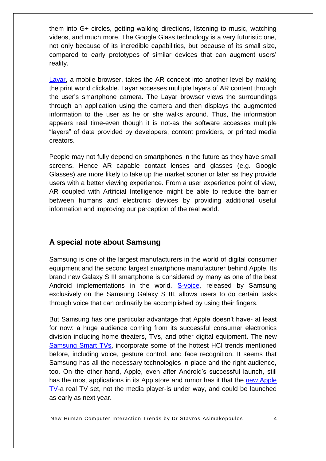them into G+ circles, getting walking directions, listening to music, watching videos, and much more. The Google Glass technology is a very futuristic one, not only because of its incredible capabilities, but because of its small size, compared to early prototypes of similar devices that can augment users' reality.

[Layar,](http://www.layar.com/what-is-layar/) a mobile browser, takes the AR concept into another level by making the print world clickable. Layar accesses multiple layers of AR content through the user's smartphone camera. The Layar browser views the surroundings through an application using the camera and then displays the augmented information to the user as he or she walks around. Thus, the information appears real time-even though it is not-as the software accesses multiple "layers" of data provided by developers, content providers, or printed media creators.

People may not fully depend on smartphones in the future as they have small screens. Hence AR capable contact lenses and glasses (e.g. Google Glasses) are more likely to take up the market sooner or later as they provide users with a better viewing experience. From a user experience point of view, AR coupled with Artificial Intelligence might be able to reduce the barrier between humans and electronic devices by providing additional useful information and improving our perception of the real world.

#### **A special note about Samsung**

Samsung is one of the largest manufacturers in the world of digital consumer equipment and the second largest smartphone manufacturer behind Apple. Its brand new Galaxy S III smartphone is considered by many as one of the best Android implementations in the world. [S-voice,](http://www.youtube.com/watch?v=61I97JKORDE) released by Samsung exclusively on the Samsung Galaxy S III, allows users to do certain tasks through voice that can ordinarily be accomplished by using their fingers.

But Samsung has one particular advantage that Apple doesn't have- at least for now: a huge audience coming from its successful consumer electronics division including home theaters, TVs, and other digital equipment. The new [Samsung Smart TVs,](http://www.samsung.com/us/2012-smart-tv/#journey) incorporate some of the hottest HCI trends mentioned before, including voice, gesture control, and face recognition. It seems that Samsung has all the necessary technologies in place and the right audience, too. On the other hand, Apple, even after Android's successful launch, still has the most applications in its App store and rumor has it that the [new Apple](http://www.businessinsider.com/what-is-apple-tv-2012-3?goback=%2Egmp_145854%2Egde_145854_member_87400101%2Egmp_145854%2Egde_145854_member_98857783)  [TV-](http://www.businessinsider.com/what-is-apple-tv-2012-3?goback=%2Egmp_145854%2Egde_145854_member_87400101%2Egmp_145854%2Egde_145854_member_98857783)a real TV set, not the media player-is under way, and could be launched as early as next year.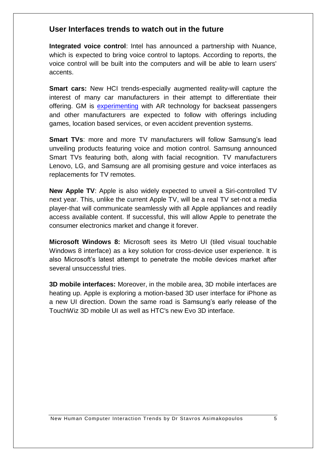#### **User Interfaces trends to watch out in the future**

**Integrated voice control**: Intel has announced a partnership with Nuance, which is expected to bring voice control to laptops. According to reports, the voice control will be built into the computers and will be able to learn users' accents.

**Smart cars:** New HCI trends-especially augmented reality-will capture the interest of many car manufacturers in their attempt to differentiate their offering. GM is [experimenting](http://www.youtube.com/watch?v=9G4cYYlIaCc) with AR technology for backseat passengers and other manufacturers are expected to follow with offerings including games, location based services, or even accident prevention systems.

**Smart TVs**: more and more TV manufacturers will follow Samsung's lead unveiling products featuring voice and motion control. Samsung announced Smart TVs featuring both, along with facial recognition. TV manufacturers Lenovo, LG, and Samsung are all promising gesture and voice interfaces as replacements for TV remotes.

**New Apple TV**: Apple is also widely expected to unveil a Siri-controlled TV next year. This, unlike the current Apple TV, will be a real TV set-not a media player-that will communicate seamlessly with all Apple appliances and readily access available content. If successful, this will allow Apple to penetrate the consumer electronics market and change it forever.

**Microsoft Windows 8:** Microsoft sees its Metro UI (tiled visual touchable Windows 8 interface) as a key solution for cross-device user experience. It is also Microsoft's latest attempt to penetrate the mobile devices market after several unsuccessful tries.

**3D mobile interfaces:** Moreover, in the mobile area, 3D mobile interfaces are heating up. Apple is exploring a motion-based 3D user interface for iPhone as a new UI direction. Down the same road is Samsung's early release of the TouchWiz 3D mobile UI as well as HTC's new Evo 3D interface.